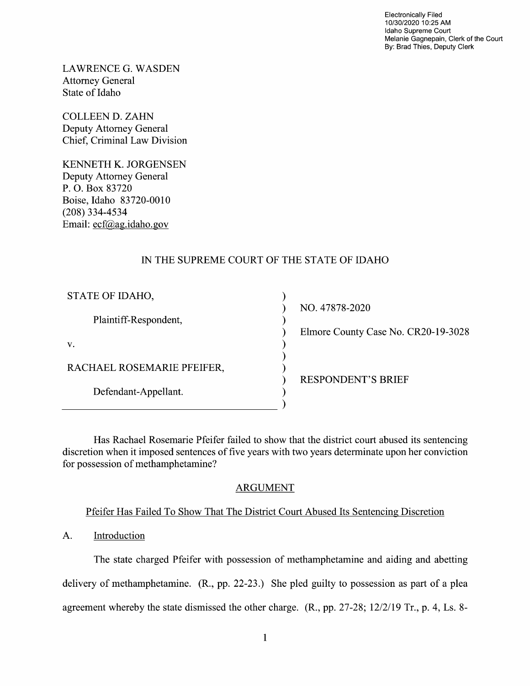Electronically Filed 10/30/2020 10:25 AM Idaho Supreme Court Melanie Gagnepain, Clerk of the Court By: Brad Thies, Deputy Clerk

LAWRENCE G.WASDEN Attorney General State 0f Idaho

COLLEEN D. ZAHN Deputy Attorney General Chief, Criminal Law Division

KENNETH K. JORGENSEN Deputy Attorney General P. O. Box 83720 Boise, Idaho 83720-00 (208) 334-4534 Email: ecf@ag.idaho.gov

# IN THE SUPREME COURT OF THE STATE OF IDAHO

| STATE OF IDAHO,            | NO. 47878-2020                      |
|----------------------------|-------------------------------------|
| Plaintiff-Respondent,      | Elmore County Case No. CR20-19-3028 |
| V.                         |                                     |
| RACHAEL ROSEMARIE PFEIFER, | <b>RESPONDENT'S BRIEF</b>           |
| Defendant-Appellant.       |                                     |

Has Rachael Rosemarie Pfeifer failed to show that the district court abused its sentencing discretion when it imposed sentences of five years with two years determinate upon her conviction for possession of methamphetamine?

## ARGUMENT

## Pfeifer Has Failed T0 Show That The District Court Abused Its Sentencing Discretion

# A. Introduction

The state charged Pfeifer with possession 0f methamphetamine and aiding and abetting delivery of methamphetamine.  $(R_1, pp. 22-23)$  She pled guilty to possession as part of a plea agreement whereby the state dismissed the other charge. (R., pp. 27-28; 12/2/19 Tr., p. 4, Ls. 8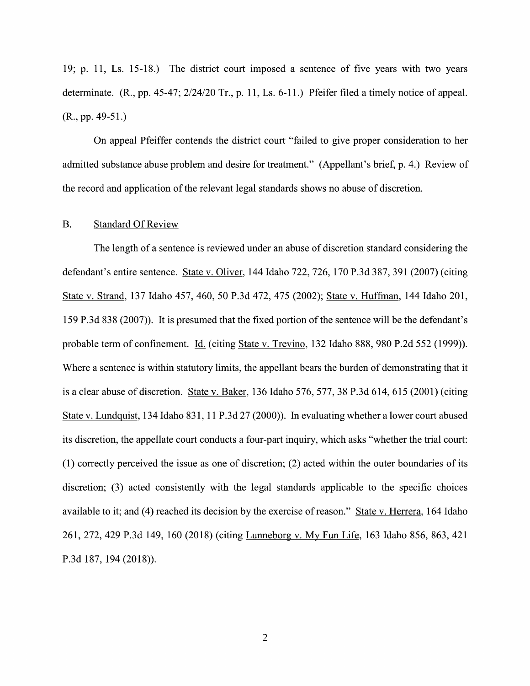19; p. 11, Ls. 15-18.) The district court imposed a sentence of five years with two years determinate.  $(R., pp. 45-47; 2/24/20 \text{ Tr.}, p. 11, Ls. 6-11.)$  Pfeifer filed a timely notice of appeal.  $(R., pp. 49-51.)$ 

On appeal Pfeiffer contends the district court "failed t0 give proper consideration t0 her admitted substance abuse problem and desire for treatment." (Appellant's brief, p. 4.) Review of the record and application 0f the relevant legal standards shows n0 abuse 0f discretion.

#### B. Standard Of Review

The length of a sentence is reviewed under an abuse of discretion standard considering the defendant's entire sentence. State V. Oliver, <sup>144</sup> Idaho 722, 726, 170 P.3d 387, <sup>391</sup> (2007) (citing State v. Strand, 137 Idaho 457, 460, 50 P.3d 472, 475 (2002); State v. Huffman, 144 Idaho 201, 159 P.3d 838 (2007)). It is presumed that the fixed portion of the sentence will be the defendant's probable term of confinement. Li. (citing State V. Trevino, 132 Idaho 888, 980 P.2d 552 (1999)). Where a sentence is within statutory limits, the appellant bears the burden of demonstrating that it is a clear abuse of discretion. State v. Baker, 136 Idaho 576, 577, 38 P.3d 614, 615 (2001) (citing State v. Lundquist, 134 Idaho 831, 11 P.3d 27 (2000)). In evaluating whether a lower court abused its discretion, the appellate court conducts a four-part inquiry, which asks "whether the trial court:  $(1)$  correctly perceived the issue as one of discretion;  $(2)$  acted within the outer boundaries of its discretion; (3) acted consistently with the legal standards applicable to the specific choices available to it; and (4) reached its decision by the exercise of reason." State v. Herrera, 164 Idaho 261, 272, <sup>429</sup> P.3d 149, <sup>160</sup> (2018) (citing Lunneborg V. MV Fun Life, <sup>163</sup> Idaho 856, 863, <sup>421</sup> P.3d 187, 194 (2018)).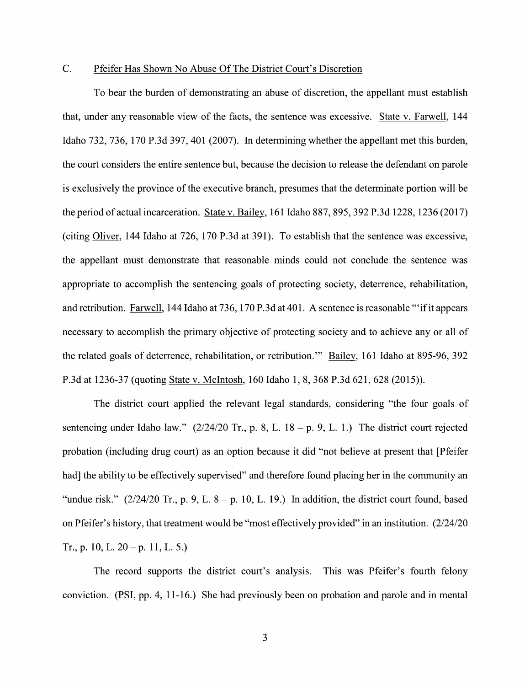### C. Pfeifer Has Shown N0 Abuse Of The District Court's Discretion

To bear the burden of demonstrating an abuse of discretion, the appellant must establish that, under any reasonable view of the facts, the sentence was excessive. State v. Farwell, 144 Idaho 732, 736, 170 P.3d 397, 401 (2007). In determining whether the appellant met this burden, the court considers the entire sentence but, because the decision t0 release the defendant on parole is exclusively the province of the executive branch, presumes that the determinate portion will be is exclusively the province of the executive branch, presumes that the determinate portion will be<br>the period of actual incarceration. State v. Bailey, 161 Idaho 887, 895, 392 P.3d 1228, 1236 (2017) the period of actual incarceration. State v. Bailey, 161 Idaho 887, 895, 392 P.3d 1228, 1236 (2017)<br>(citing Oliver, 144 Idaho at 726, 170 P.3d at 391). To establish that the sentence was excessive, the appellant must demonstrate that reasonable minds could not conclude the sentence was appropriate to accomplish the sentencing goals of protecting society, deterrence, rehabilitation, and retribution. Farwell, 144 Idaho at 736, 170 P.3d at 401. A sentence is reasonable "'if it appears necessary to accomplish the primary objective of protecting society and to achieve any or all of the related goals of deterrence, rehabilitation, or retribution." Bailey, 161 Idaho at 895-96, 392 P.3d at 1236-37 (quoting State V. McIntosh, 160 Idaho 1, 8, 368 P.3d 621, 628 (2015)).

The district court applied the relevant legal standards, considering "the four goals of sentencing under Idaho law."  $(2/24/20 \text{ Tr.}, p. 8, L. 18 - p. 9, L. 1.)$  The district court rejected probation (including drug court) as an option because it did "not believe at present that [Pfeifer had] the ability to be effectively supervised" and therefore found placing her in the community an "undue risk."  $(2/24/20 \text{ Tr.}, p. 9, L. 8 - p. 10, L. 19)$  In addition, the district court found, based 0n Pfeifer's history, that treatment would be "most effectively provided" in an institution. (2/24/20 Tr., p. 10, L.  $20 - p$ . 11, L. 5.)

The record supports the district court's analysis. This was Pfeifer's fourth felony conviction. (PSI, pp. 4, 11-16.) She had previously been 0n probation and parole and in mental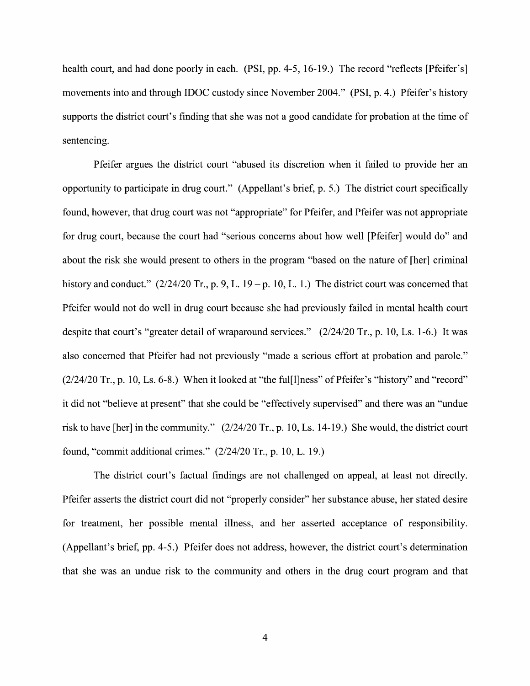health court, and had done poorly in each. (PSI, pp. 4-5, 16-19.) The record "reflects [Pfeifer's] movements into and through IDOC custody since November 2004." (PSI, p. 4.) Pfeifer's history supports the district court's finding that she was not a good candidate for probation at the time of sentencing.

Pfeifer argues the district court "abused its discretion when it failed to provide her an opportunity to participate in drug court." (Appellant's brief, p. 5.) The district court specifically found, however, that drug court was not "appropriate" for Pfeifer, and Pfeifer was not appropriate for drug court, because the court had "serious concerns about how well [Pfeifer] would do" and about the risk she would present to others in the program "based on the nature of [her] criminal history and conduct."  $(2/24/20 \text{ Tr.}, p. 9, L. 19 - p. 10, L. 1.)$  The district court was concerned that Pfeifer would not d0 well in drug court because she had previously failed in mental health court despite that court's "greater detail of wraparound services." (2/24/20 Tr., p. 10, Ls. 1-6.) It was also concerned that Pfeifer had not previously "made a serious effort at probation and parole." (2/24/20 Tr., p. 10, Ls. 6-8.) When it looked at "the ful[l]ness" 0f Pfeifer's "history" and "record" it did not "believe at present" that she could be "effectively supervised" and there was an "undue risk to have [her] in the community." {2/24/20 Tr., p. 10, Ls. 14-19.) She would, the district court found, "commit additional crimes." (2/24/20 Tr., p. 10, L. 19.)

The district court's factual findings are not challenged 0n appeal, at least not directly. Pfeifer asserts the district court did not "properly consider" her substance abuse, her stated desire for treatment, her possible mental illness, and her asserted acceptance 0f responsibility. (Appellant's brief, pp. 4-5.) Pfeifer does not address, however, the district court's determination that she was an undue risk to the community and others in the drug court program and that